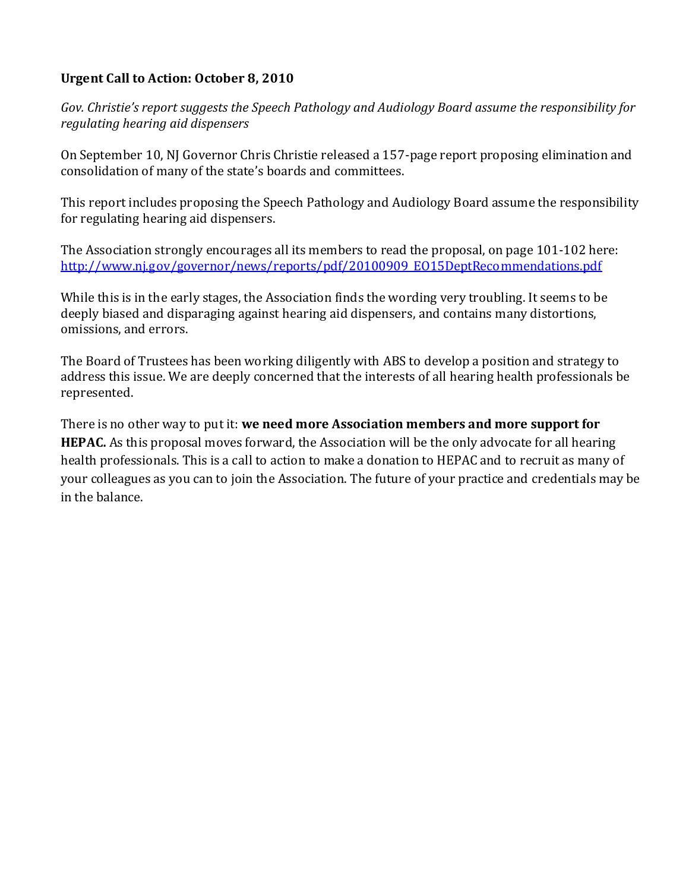## **Urgent Call to Action: October 8, 2010**

*Gov. Christie's report suggests the Speech Pathology and Audiology Board assume the responsibility for regulating hearing aid dispensers* 

On September 10, NJ Governor Chris Christie released a 157-page report proposing elimination and consolidation of many of the state's boards and committees.

This report includes proposing the Speech Pathology and Audiology Board assume the responsibility for regulating hearing aid dispensers.

The Association strongly encourages all its members to read the proposal, on page 101-102 here: http://www.nj.gov/governor/news/reports/pdf/20100909\_EO15DeptRecommendations.pdf

While this is in the early stages, the Association finds the wording very troubling. It seems to be deeply biased and disparaging against hearing aid dispensers, and contains many distortions, omissions, and errors.

The Board of Trustees has been working diligently with ABS to develop a position and strategy to address this issue. We are deeply concerned that the interests of all hearing health professionals be represented.

There is no other way to put it: **we need more Association members and more support for HEPAC.** As this proposal moves forward, the Association will be the only advocate for all hearing health professionals. This is a call to action to make a donation to HEPAC and to recruit as many of your colleagues as you can to join the Association. The future of your practice and credentials may be in the balance.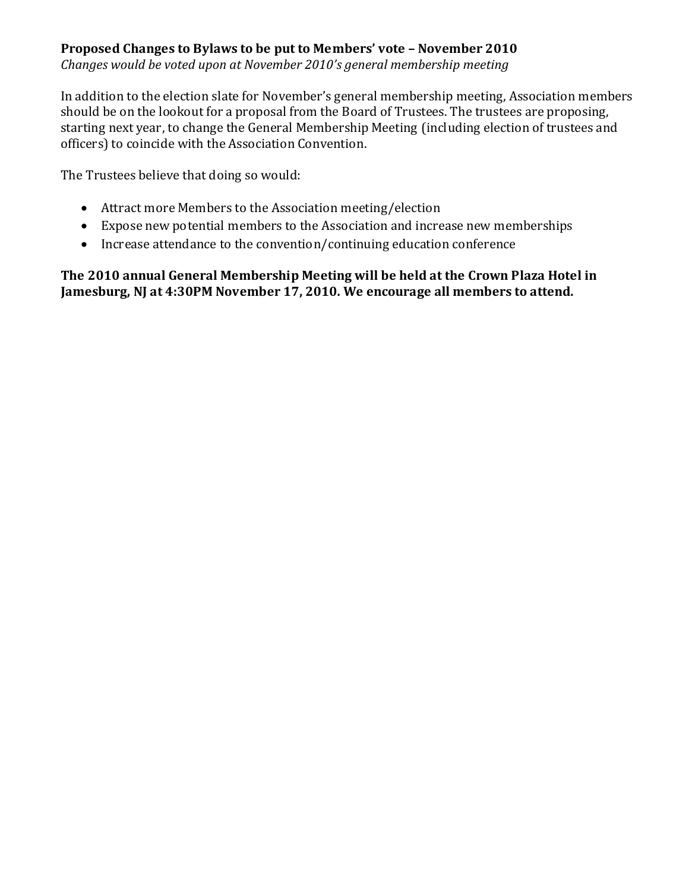## **Proposed Changes to Bylaws to be put to Members' vote – November 2010**

*Changes would be voted upon at November 2010's general membership meeting* 

In addition to the election slate for November's general membership meeting, Association members should be on the lookout for a proposal from the Board of Trustees. The trustees are proposing, starting next year, to change the General Membership Meeting (including election of trustees and officers) to coincide with the Association Convention.

The Trustees believe that doing so would:

- · Attract more Members to the Association meeting/election
- · Expose new potential members to the Association and increase new memberships
- · Increase attendance to the convention/continuing education conference

### **The 2010 annual General Membership Meeting will be held at the Crown Plaza Hotel in Jamesburg, NJ at 4:30PM November 17, 2010. We encourage all members to attend.**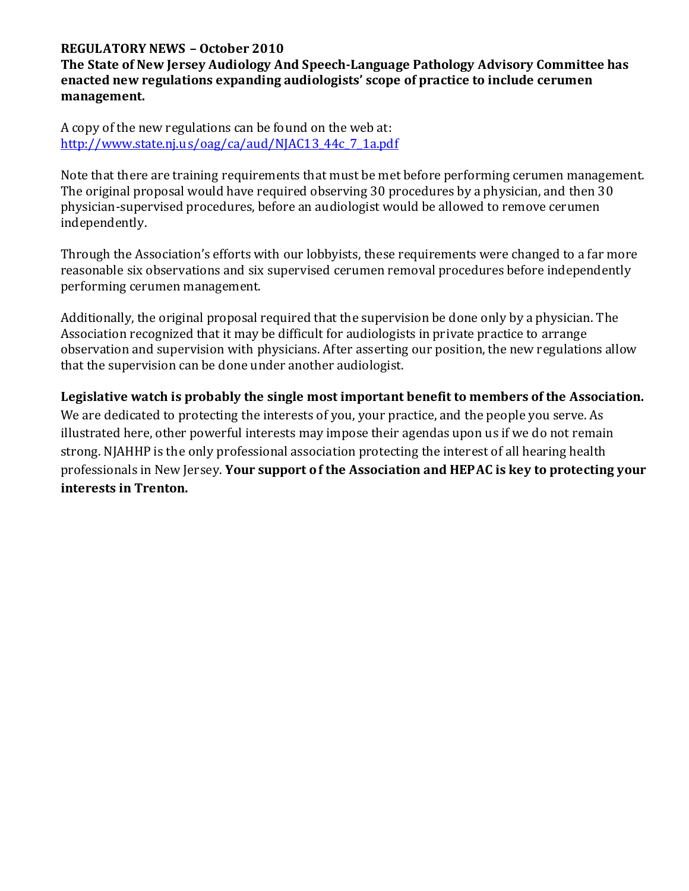#### **REGULATORY NEWS – October 2010**

**The State of New Jersey Audiology And Speech-Language Pathology Advisory Committee has enacted new regulations expanding audiologists' scope of practice to include cerumen management.** 

A copy of the new regulations can be found on the web at: http://www.state.nj.u s/oag/ca/aud/NJAC13\_44c\_7\_1a.pdf

Note that there are training requirements that must be met before performing cerumen management. The original proposal would have required observing 30 procedures by a physician, and then 30 physician-supervised procedures, before an audiologist would be allowed to remove cerumen independently.

Through the Association's efforts with our lobbyists, these requirements were changed to a far more reasonable six observations and six supervised cerumen removal procedures before independently performing cerumen management.

Additionally, the original proposal required that the supervision be done only by a physician. The Association recognized that it may be difficult for audiologists in private practice to arrange observation and supervision with physicians. After asserting our position, the new regulations allow that the supervision can be done under another audiologist.

**Legislative watch is probably the single most important benefit to members of the Association.**  We are dedicated to protecting the interests of you, your practice, and the people you serve. As illustrated here, other powerful interests may impose their agendas upon us if we do not remain strong. NJAHHP is the only professional association protecting the interest of all hearing health professionals in New Jersey. **Your support o f the Association and HEPAC is key to protecting your interests in Trenton.**